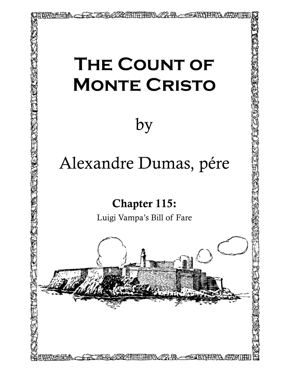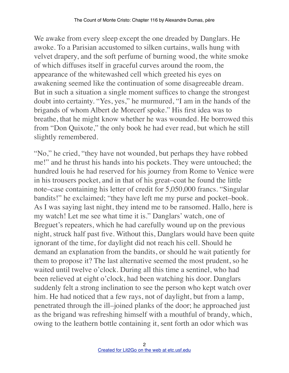We awake from every sleep except the one dreaded by Danglars. He awoke. To a Parisian accustomed to silken curtains, walls hung with velvet drapery, and the soft perfume of burning wood, the white smoke of which diffuses itself in graceful curves around the room, the appearance of the whitewashed cell which greeted his eyes on awakening seemed like the continuation of some disagreeable dream. But in such a situation a single moment suffices to change the strongest doubt into certainty. "Yes, yes," he murmured, "I am in the hands of the brigands of whom Albert de Morcerf spoke." His first idea was to breathe, that he might know whether he was wounded. He borrowed this from "Don Quixote," the only book he had ever read, but which he still slightly remembered.

"No," he cried, "they have not wounded, but perhaps they have robbed me!" and he thrust his hands into his pockets. They were untouched; the hundred louis he had reserved for his journey from Rome to Venice were in his trousers pocket, and in that of his great–coat he found the little note–case containing his letter of credit for 5,050,000 francs. "Singular bandits!" he exclaimed; "they have left me my purse and pocket–book. As I was saying last night, they intend me to be ransomed. Hallo, here is my watch! Let me see what time it is." Danglars' watch, one of Breguet's repeaters, which he had carefully wound up on the previous night, struck half past five. Without this, Danglars would have been quite ignorant of the time, for daylight did not reach his cell. Should he demand an explanation from the bandits, or should he wait patiently for them to propose it? The last alternative seemed the most prudent, so he waited until twelve o'clock. During all this time a sentinel, who had been relieved at eight o'clock, had been watching his door. Danglars suddenly felt a strong inclination to see the person who kept watch over him. He had noticed that a few rays, not of daylight, but from a lamp, penetrated through the ill–joined planks of the door; he approached just as the brigand was refreshing himself with a mouthful of brandy, which, owing to the leathern bottle containing it, sent forth an odor which was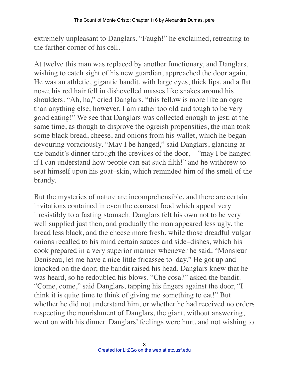extremely unpleasant to Danglars. "Faugh!" he exclaimed, retreating to the farther corner of his cell.

At twelve this man was replaced by another functionary, and Danglars, wishing to catch sight of his new guardian, approached the door again. He was an athletic, gigantic bandit, with large eyes, thick lips, and a flat nose; his red hair fell in dishevelled masses like snakes around his shoulders. "Ah, ha," cried Danglars, "this fellow is more like an ogre than anything else; however, I am rather too old and tough to be very good eating!" We see that Danglars was collected enough to jest; at the same time, as though to disprove the ogreish propensities, the man took some black bread, cheese, and onions from his wallet, which he began devouring voraciously. "May I be hanged," said Danglars, glancing at the bandit's dinner through the crevices of the door,—"may I be hanged if I can understand how people can eat such filth!" and he withdrew to seat himself upon his goat–skin, which reminded him of the smell of the brandy.

But the mysteries of nature are incomprehensible, and there are certain invitations contained in even the coarsest food which appeal very irresistibly to a fasting stomach. Danglars felt his own not to be very well supplied just then, and gradually the man appeared less ugly, the bread less black, and the cheese more fresh, while those dreadful vulgar onions recalled to his mind certain sauces and side–dishes, which his cook prepared in a very superior manner whenever he said, "Monsieur Deniseau, let me have a nice little fricassee to–day." He got up and knocked on the door; the bandit raised his head. Danglars knew that he was heard, so he redoubled his blows. "Che cosa?" asked the bandit. "Come, come," said Danglars, tapping his fingers against the door, "I think it is quite time to think of giving me something to eat!" But whether he did not understand him, or whether he had received no orders respecting the nourishment of Danglars, the giant, without answering, went on with his dinner. Danglars' feelings were hurt, and not wishing to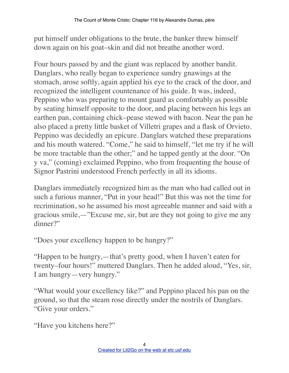put himself under obligations to the brute, the banker threw himself down again on his goat–skin and did not breathe another word.

Four hours passed by and the giant was replaced by another bandit. Danglars, who really began to experience sundry gnawings at the stomach, arose softly, again applied his eye to the crack of the door, and recognized the intelligent countenance of his guide. It was, indeed, Peppino who was preparing to mount guard as comfortably as possible by seating himself opposite to the door, and placing between his legs an earthen pan, containing chick–pease stewed with bacon. Near the pan he also placed a pretty little basket of Villetri grapes and a flask of Orvieto. Peppino was decidedly an epicure. Danglars watched these preparations and his mouth watered. "Come," he said to himself, "let me try if he will be more tractable than the other;" and he tapped gently at the door. "On y va," (coming) exclaimed Peppino, who from frequenting the house of Signor Pastrini understood French perfectly in all its idioms.

Danglars immediately recognized him as the man who had called out in such a furious manner, "Put in your head!" But this was not the time for recrimination, so he assumed his most agreeable manner and said with a gracious smile,—"Excuse me, sir, but are they not going to give me any dinner?"

"Does your excellency happen to be hungry?"

"Happen to be hungry,—that's pretty good, when I haven't eaten for twenty–four hours!" muttered Danglars. Then he added aloud, "Yes, sir, I am hungry—very hungry."

"What would your excellency like?" and Peppino placed his pan on the ground, so that the steam rose directly under the nostrils of Danglars. "Give your orders."

"Have you kitchens here?"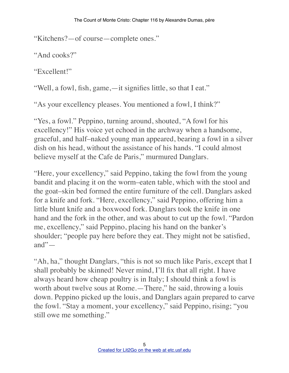"Kitchens?—of course—complete ones."

"And cooks?"

"Excellent!"

"Well, a fowl, fish, game,—it signifies little, so that I eat."

"As your excellency pleases. You mentioned a fowl, I think?"

"Yes, a fowl." Peppino, turning around, shouted, "A fowl for his excellency!" His voice yet echoed in the archway when a handsome, graceful, and half–naked young man appeared, bearing a fowl in a silver dish on his head, without the assistance of his hands. "I could almost believe myself at the Cafe de Paris," murmured Danglars.

"Here, your excellency," said Peppino, taking the fowl from the young bandit and placing it on the worm–eaten table, which with the stool and the goat–skin bed formed the entire furniture of the cell. Danglars asked for a knife and fork. "Here, excellency," said Peppino, offering him a little blunt knife and a boxwood fork. Danglars took the knife in one hand and the fork in the other, and was about to cut up the fowl. "Pardon me, excellency," said Peppino, placing his hand on the banker's shoulder; "people pay here before they eat. They might not be satisfied, and" $-$ 

"Ah, ha," thought Danglars, "this is not so much like Paris, except that I shall probably be skinned! Never mind, I'll fix that all right. I have always heard how cheap poultry is in Italy; I should think a fowl is worth about twelve sous at Rome.—There," he said, throwing a louis down. Peppino picked up the louis, and Danglars again prepared to carve the fowl. "Stay a moment, your excellency," said Peppino, rising; "you still owe me something."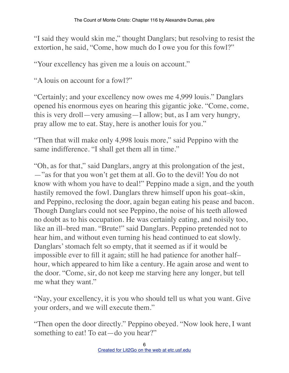"I said they would skin me," thought Danglars; but resolving to resist the extortion, he said, "Come, how much do I owe you for this fowl?"

"Your excellency has given me a louis on account."

"A louis on account for a fowl?"

"Certainly; and your excellency now owes me 4,999 louis." Danglars opened his enormous eyes on hearing this gigantic joke. "Come, come, this is very droll—very amusing—I allow; but, as I am very hungry, pray allow me to eat. Stay, here is another louis for you."

"Then that will make only 4,998 louis more," said Peppino with the same indifference. "I shall get them all in time."

"Oh, as for that," said Danglars, angry at this prolongation of the jest, —"as for that you won't get them at all. Go to the devil! You do not know with whom you have to deal!" Peppino made a sign, and the youth hastily removed the fowl. Danglars threw himself upon his goat–skin, and Peppino, reclosing the door, again began eating his pease and bacon. Though Danglars could not see Peppino, the noise of his teeth allowed no doubt as to his occupation. He was certainly eating, and noisily too, like an ill–bred man. "Brute!" said Danglars. Peppino pretended not to hear him, and without even turning his head continued to eat slowly. Danglars' stomach felt so empty, that it seemed as if it would be impossible ever to fill it again; still he had patience for another half– hour, which appeared to him like a century. He again arose and went to the door. "Come, sir, do not keep me starving here any longer, but tell me what they want."

"Nay, your excellency, it is you who should tell us what you want. Give your orders, and we will execute them."

"Then open the door directly." Peppino obeyed. "Now look here, I want something to eat! To eat—do you hear?"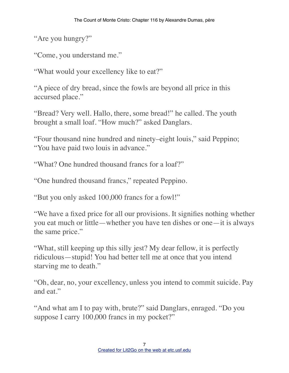"Are you hungry?"

"Come, you understand me."

"What would your excellency like to eat?"

"A piece of dry bread, since the fowls are beyond all price in this accursed place."

"Bread? Very well. Hallo, there, some bread!" he called. The youth brought a small loaf. "How much?" asked Danglars.

"Four thousand nine hundred and ninety–eight louis," said Peppino; "You have paid two louis in advance."

"What? One hundred thousand francs for a loaf?"

"One hundred thousand francs," repeated Peppino.

"But you only asked 100,000 francs for a fowl!"

"We have a fixed price for all our provisions. It signifies nothing whether you eat much or little—whether you have ten dishes or one—it is always the same price."

"What, still keeping up this silly jest? My dear fellow, it is perfectly ridiculous—stupid! You had better tell me at once that you intend starving me to death."

"Oh, dear, no, your excellency, unless you intend to commit suicide. Pay and eat."

"And what am I to pay with, brute?" said Danglars, enraged. "Do you suppose I carry 100,000 francs in my pocket?"